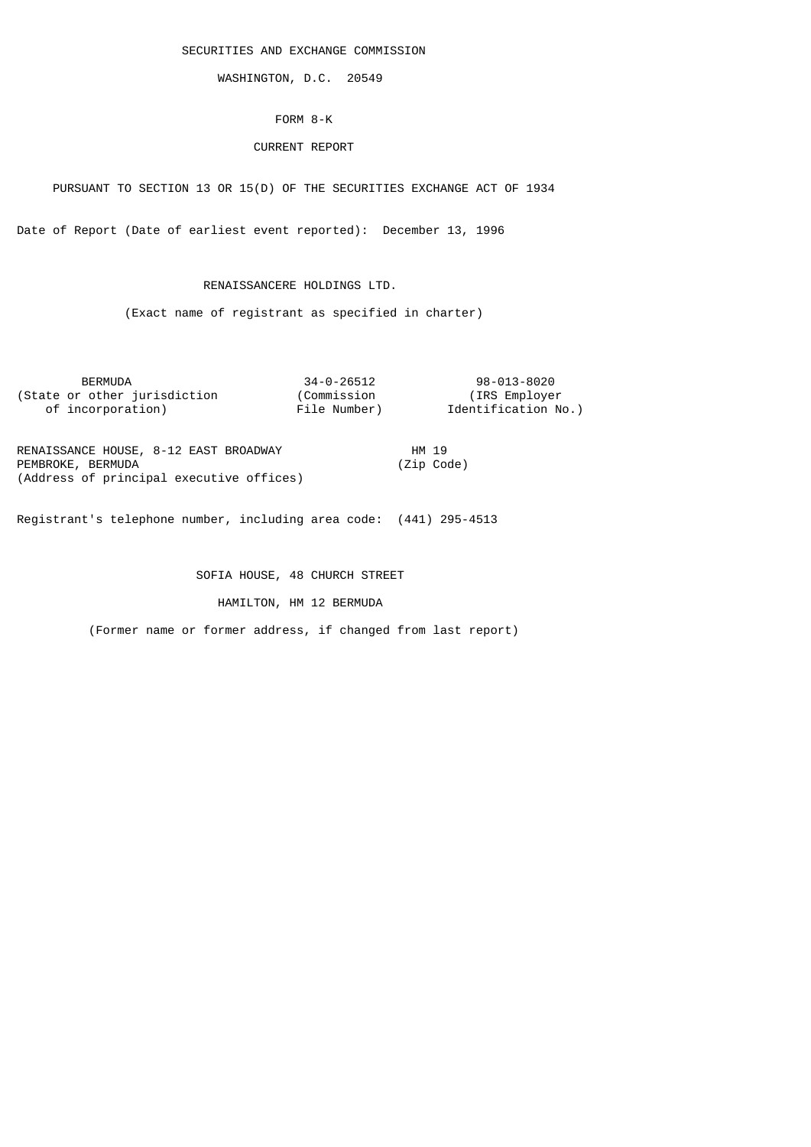SECURITIES AND EXCHANGE COMMISSION

WASHINGTON, D.C. 20549

## FORM 8-K

# CURRENT REPORT

PURSUANT TO SECTION 13 OR 15(D) OF THE SECURITIES EXCHANGE ACT OF 1934

Date of Report (Date of earliest event reported): December 13, 1996

# RENAISSANCERE HOLDINGS LTD.

(Exact name of registrant as specified in charter)

| <b>BERMUDA</b>               | 34-0-26512   | 98-013-8020         |
|------------------------------|--------------|---------------------|
| (State or other jurisdiction | (Commission  | (IRS Employer)      |
| of incorporation)            | File Number) | Identification No.) |
|                              |              |                     |

| RENAISSANCE HOUSE, 8-12 EAST BROADWAY    | HM 19 |            |
|------------------------------------------|-------|------------|
| PEMBROKE, BERMUDA                        |       | (Zip Code) |
| (Address of principal executive offices) |       |            |

Registrant's telephone number, including area code: (441) 295-4513

SOFIA HOUSE, 48 CHURCH STREET

HAMILTON, HM 12 BERMUDA

(Former name or former address, if changed from last report)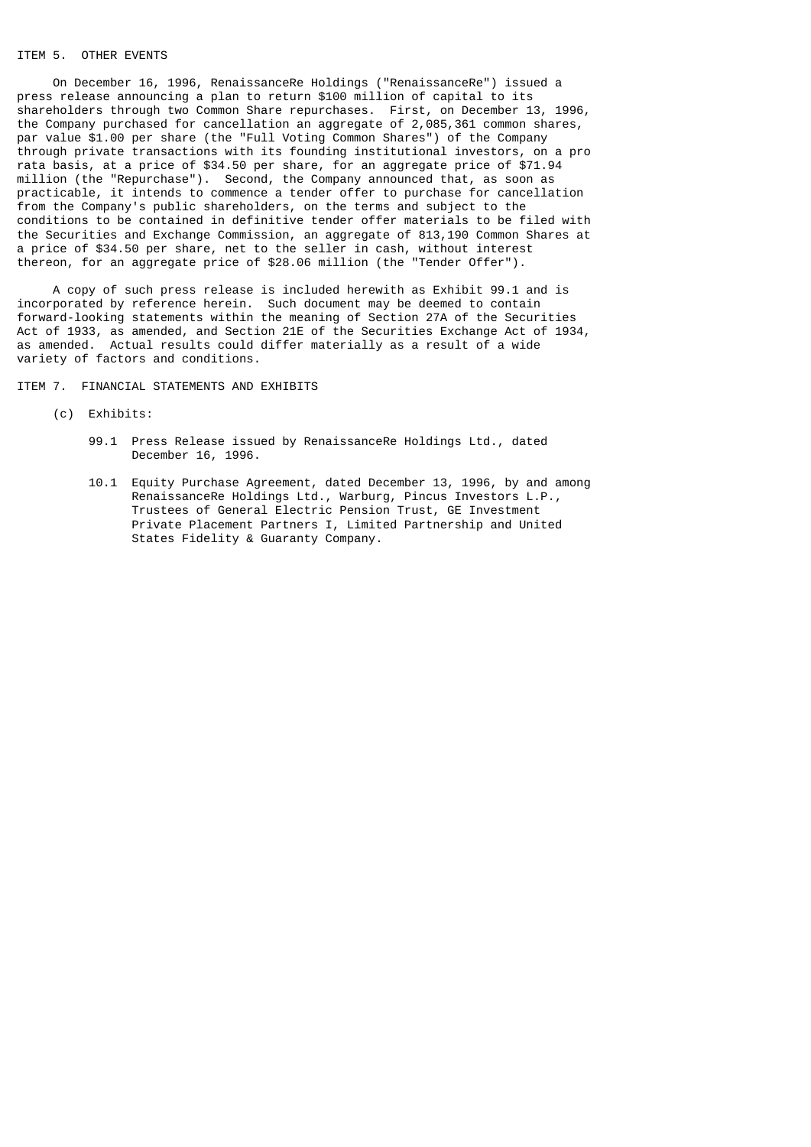# ITEM 5. OTHER EVENTS

 On December 16, 1996, RenaissanceRe Holdings ("RenaissanceRe") issued a press release announcing a plan to return \$100 million of capital to its shareholders through two Common Share repurchases. First, on December 13, 1996, the Company purchased for cancellation an aggregate of 2,085,361 common shares, par value \$1.00 per share (the "Full Voting Common Shares") of the Company through private transactions with its founding institutional investors, on a pro rata basis, at a price of \$34.50 per share, for an aggregate price of \$71.94 million (the "Repurchase"). Second, the Company announced that, as soon as practicable, it intends to commence a tender offer to purchase for cancellation from the Company's public shareholders, on the terms and subject to the conditions to be contained in definitive tender offer materials to be filed with the Securities and Exchange Commission, an aggregate of 813,190 Common Shares at a price of \$34.50 per share, net to the seller in cash, without interest thereon, for an aggregate price of \$28.06 million (the "Tender Offer").

 A copy of such press release is included herewith as Exhibit 99.1 and is incorporated by reference herein. Such document may be deemed to contain forward-looking statements within the meaning of Section 27A of the Securities Act of 1933, as amended, and Section 21E of the Securities Exchange Act of 1934, as amended. Actual results could differ materially as a result of a wide variety of factors and conditions.

ITEM 7. FINANCIAL STATEMENTS AND EXHIBITS

- (c) Exhibits:
	- 99.1 Press Release issued by RenaissanceRe Holdings Ltd., dated December 16, 1996.
	- 10.1 Equity Purchase Agreement, dated December 13, 1996, by and among RenaissanceRe Holdings Ltd., Warburg, Pincus Investors L.P., Trustees of General Electric Pension Trust, GE Investment Private Placement Partners I, Limited Partnership and United States Fidelity & Guaranty Company.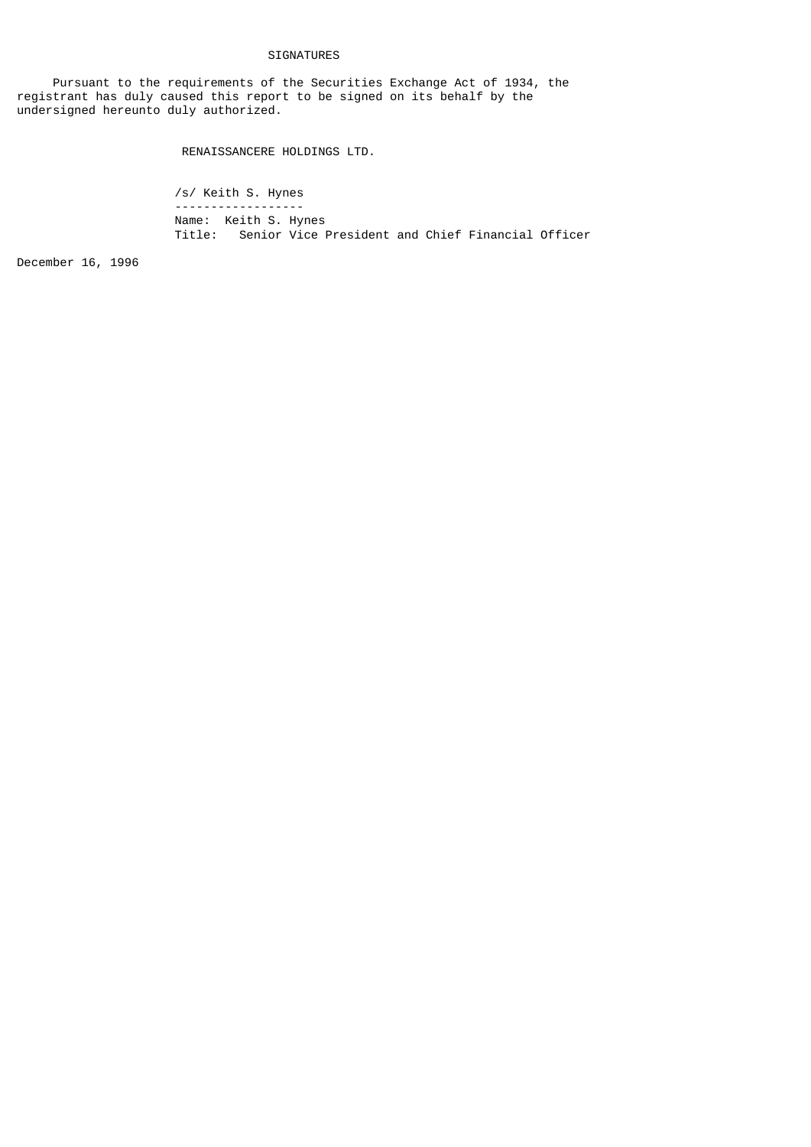## SIGNATURES

 Pursuant to the requirements of the Securities Exchange Act of 1934, the registrant has duly caused this report to be signed on its behalf by the undersigned hereunto duly authorized.

RENAISSANCERE HOLDINGS LTD.

 /s/ Keith S. Hynes ------------------ Name: Keith S. Hynes Title: Senior Vice President and Chief Financial Officer

December 16, 1996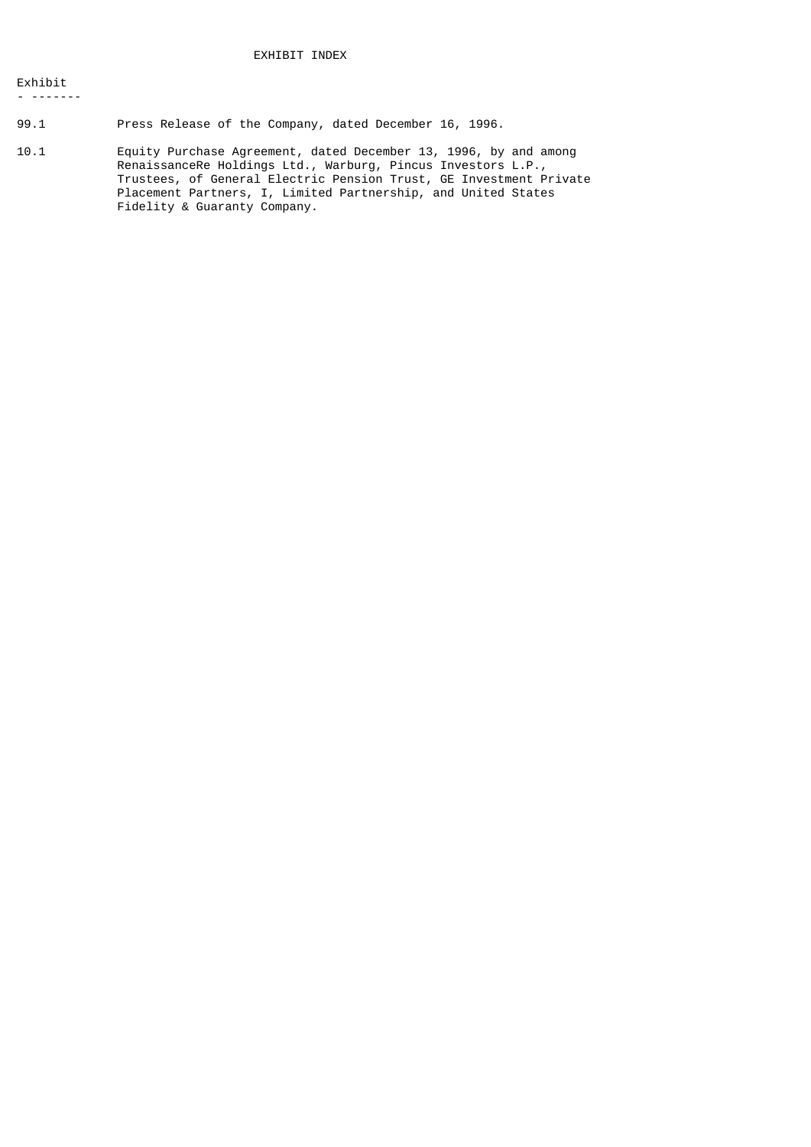- -------

99.1 Press Release of the Company, dated December 16, 1996.

10.1 Equity Purchase Agreement, dated December 13, 1996, by and among RenaissanceRe Holdings Ltd., Warburg, Pincus Investors L.P., Trustees, of General Electric Pension Trust, GE Investment Private Placement Partners, I, Limited Partnership, and United States Fidelity & Guaranty Company.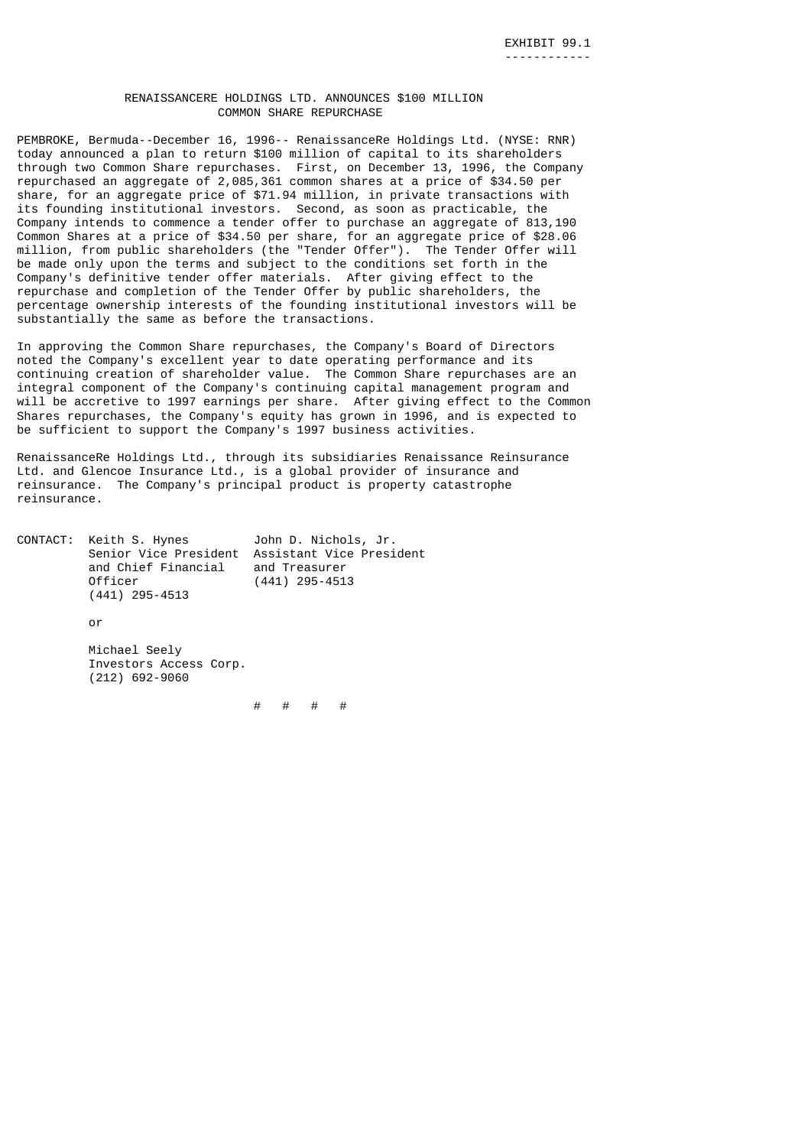### RENAISSANCERE HOLDINGS LTD. ANNOUNCES \$100 MILLION COMMON SHARE REPURCHASE

PEMBROKE, Bermuda--December 16, 1996-- RenaissanceRe Holdings Ltd. (NYSE: RNR) today announced a plan to return \$100 million of capital to its shareholders through two Common Share repurchases. First, on December 13, 1996, the Company repurchased an aggregate of 2,085,361 common shares at a price of \$34.50 per share, for an aggregate price of \$71.94 million, in private transactions with its founding institutional investors. Second, as soon as practicable, the Company intends to commence a tender offer to purchase an aggregate of 813,190 Common Shares at a price of \$34.50 per share, for an aggregate price of \$28.06 million, from public shareholders (the "Tender Offer"). The Tender Offer will be made only upon the terms and subject to the conditions set forth in the Company's definitive tender offer materials. After giving effect to the repurchase and completion of the Tender Offer by public shareholders, the percentage ownership interests of the founding institutional investors will be substantially the same as before the transactions.

In approving the Common Share repurchases, the Company's Board of Directors noted the Company's excellent year to date operating performance and its continuing creation of shareholder value. The Common Share repurchases are an integral component of the Company's continuing capital management program and will be accretive to 1997 earnings per share. After giving effect to the Common Shares repurchases, the Company's equity has grown in 1996, and is expected to be sufficient to support the Company's 1997 business activities.

RenaissanceRe Holdings Ltd., through its subsidiaries Renaissance Reinsurance Ltd. and Glencoe Insurance Ltd., is a global provider of insurance and reinsurance. The Company's principal product is property catastrophe reinsurance.

| CONTACT: Keith S. Hynes | John D. Nichols, Jr.                           |  |
|-------------------------|------------------------------------------------|--|
|                         | Senior Vice President Assistant Vice President |  |
| and Chief Financial     | and Treasurer                                  |  |
| Officer                 | $(441)$ 295-4513                               |  |
| $(441)$ 295-4513        |                                                |  |

or

 Michael Seely Investors Access Corp. (212) 692-9060

# # # #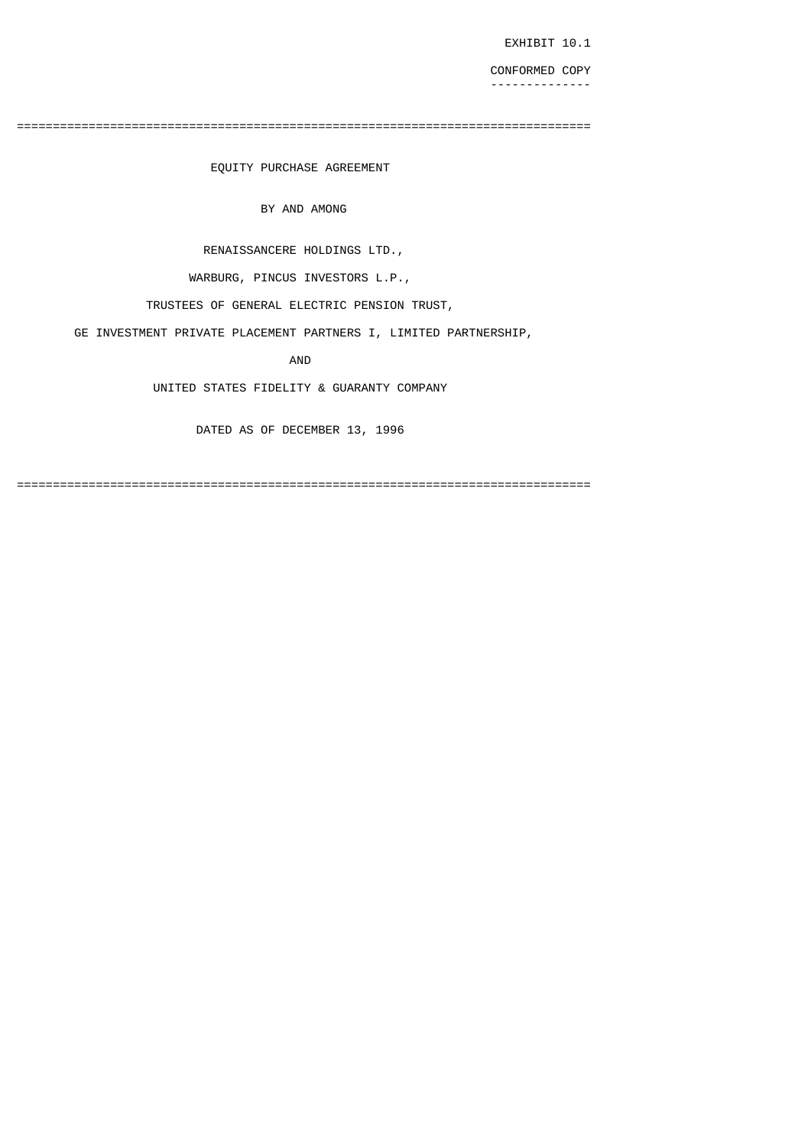EXHIBIT 10.1

 CONFORMED COPY --------------

================================================================================

EQUITY PURCHASE AGREEMENT

BY AND AMONG

RENAISSANCERE HOLDINGS LTD.,

WARBURG, PINCUS INVESTORS L.P.,

TRUSTEES OF GENERAL ELECTRIC PENSION TRUST,

GE INVESTMENT PRIVATE PLACEMENT PARTNERS I, LIMITED PARTNERSHIP,

AND

UNITED STATES FIDELITY & GUARANTY COMPANY

DATED AS OF DECEMBER 13, 1996

================================================================================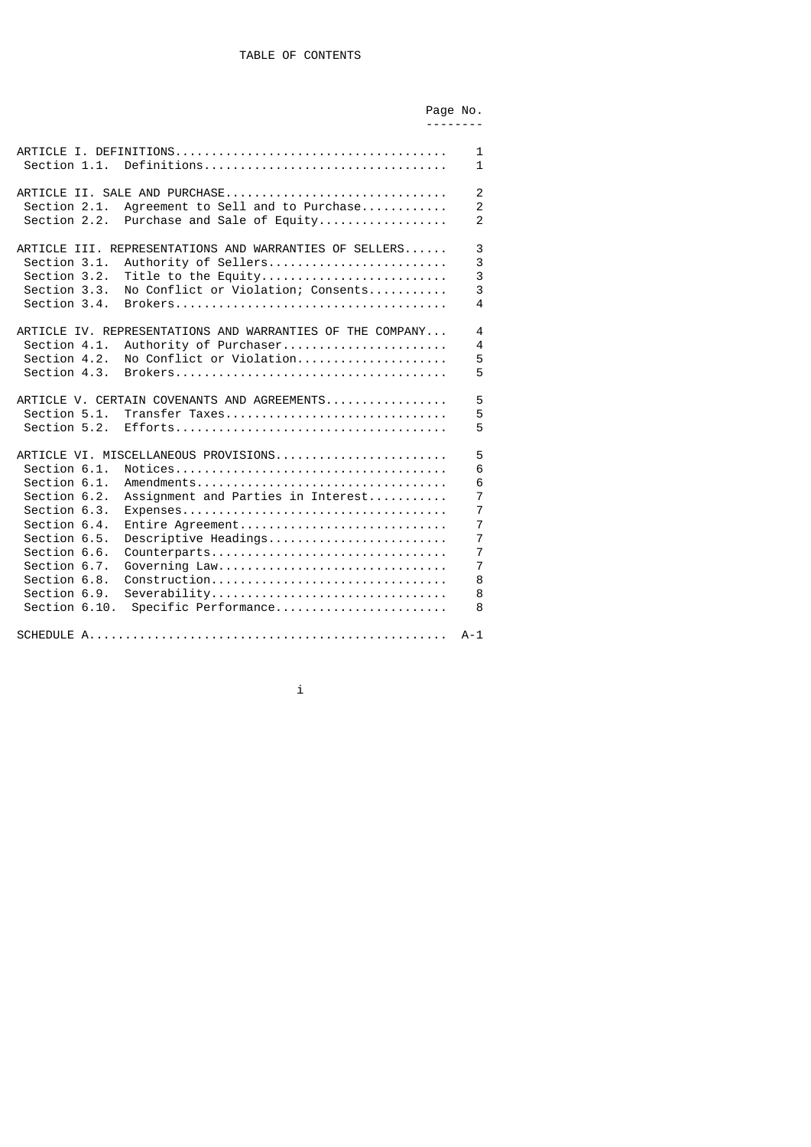|                                                                                                                                                                               |                                                                                                                                                                                                                               | Page No.<br>----- |                                                                                                                                        |
|-------------------------------------------------------------------------------------------------------------------------------------------------------------------------------|-------------------------------------------------------------------------------------------------------------------------------------------------------------------------------------------------------------------------------|-------------------|----------------------------------------------------------------------------------------------------------------------------------------|
| Section 1.1.                                                                                                                                                                  |                                                                                                                                                                                                                               |                   | $\mathbf{1}$<br>$\mathbf{1}$                                                                                                           |
| Section 2.1.<br>Section 2.2.                                                                                                                                                  | ARTICLE II. SALE AND PURCHASE<br>Agreement to Sell and to Purchase<br>Purchase and Sale of Equity                                                                                                                             |                   | 2<br>$\overline{2}$<br>$\overline{2}$                                                                                                  |
| Section 3.1.<br>Section 3.2.<br>Section 3.3.<br>Section 3.4.                                                                                                                  | ARTICLE III. REPRESENTATIONS AND WARRANTIES OF SELLERS<br>Authority of Sellers<br>Title to the Equity<br>No Conflict or Violation; Consents                                                                                   |                   | 3<br>3<br>3<br>3<br>$\overline{\mathbf{A}}$                                                                                            |
| Section 4.1.<br>Section 4.2.<br>Section 4.3.                                                                                                                                  | ARTICLE IV. REPRESENTATIONS AND WARRANTIES OF THE COMPANY<br>Authority of Purchaser<br>No Conflict or Violation                                                                                                               |                   | 4<br>$\overline{4}$<br>5<br>5                                                                                                          |
| Section 5.1.<br>Section 5.2.                                                                                                                                                  | ARTICLE V. CERTAIN COVENANTS AND AGREEMENTS<br>Transfer Taxes                                                                                                                                                                 |                   | 5<br>5<br>5                                                                                                                            |
| Section 6.1.<br>Section 6.1.<br>Section 6.2.<br>Section 6.3.<br>Section 6.4.<br>Section 6.5.<br>Section 6.6.<br>Section 6.7.<br>Section 6.8.<br>Section 6.9.<br>Section 6.10. | ARTICLE VI. MISCELLANEOUS PROVISIONS<br>Amendments<br>Assignment and Parties in Interest<br>Entire Agreement<br>Descriptive Headings<br>Counterparts<br>Governing Law<br>Construction<br>Severability<br>Specific Performance |                   | 5<br>6<br>6<br>$\overline{7}$<br>$\overline{7}$<br>$\overline{7}$<br>$\overline{7}$<br>$\overline{7}$<br>$\overline{7}$<br>8<br>8<br>8 |
|                                                                                                                                                                               |                                                                                                                                                                                                                               |                   | $A - 1$                                                                                                                                |

i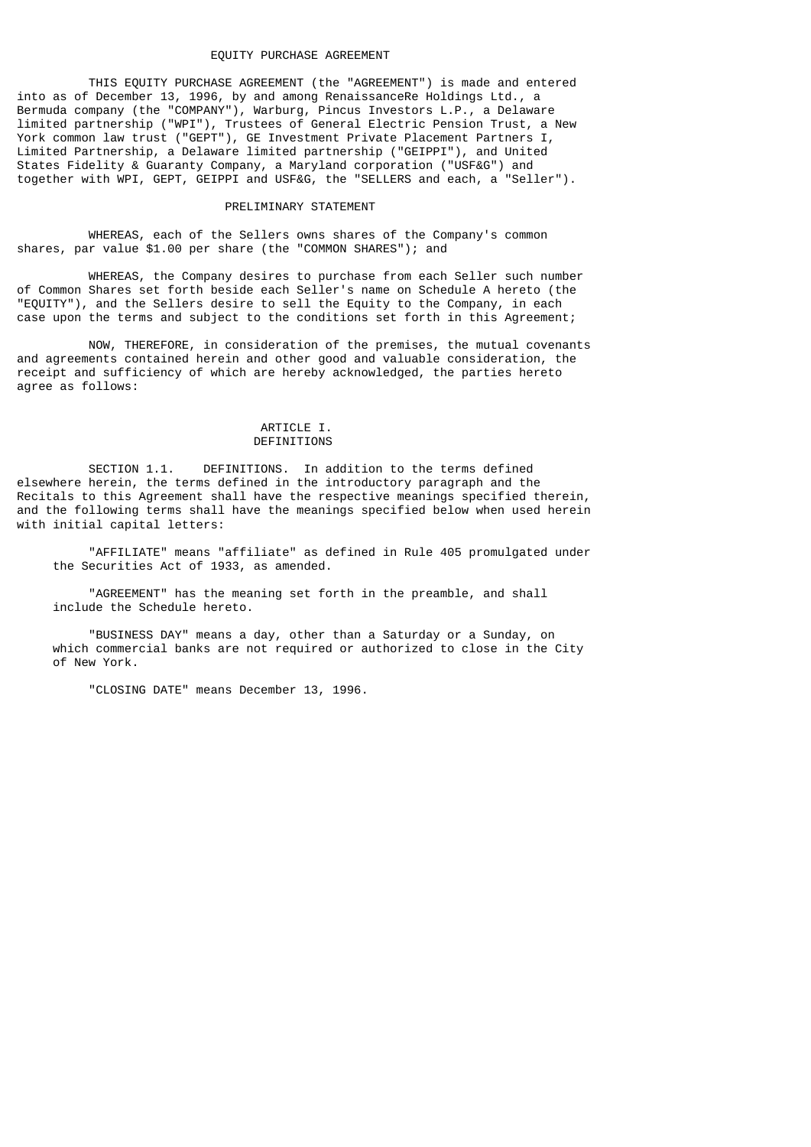### EQUITY PURCHASE AGREEMENT

 THIS EQUITY PURCHASE AGREEMENT (the "AGREEMENT") is made and entered into as of December 13, 1996, by and among RenaissanceRe Holdings Ltd., a Bermuda company (the "COMPANY"), Warburg, Pincus Investors L.P., a Delaware limited partnership ("WPI"), Trustees of General Electric Pension Trust, a New York common law trust ("GEPT"), GE Investment Private Placement Partners I, Limited Partnership, a Delaware limited partnership ("GEIPPI"), and United States Fidelity & Guaranty Company, a Maryland corporation ("USF&G") and together with WPI, GEPT, GEIPPI and USF&G, the "SELLERS and each, a "Seller").

### PRELIMINARY STATEMENT

 WHEREAS, each of the Sellers owns shares of the Company's common shares, par value \$1.00 per share (the "COMMON SHARES"); and

 WHEREAS, the Company desires to purchase from each Seller such number of Common Shares set forth beside each Seller's name on Schedule A hereto (the "EQUITY"), and the Sellers desire to sell the Equity to the Company, in each case upon the terms and subject to the conditions set forth in this Agreement;

 NOW, THEREFORE, in consideration of the premises, the mutual covenants and agreements contained herein and other good and valuable consideration, the receipt and sufficiency of which are hereby acknowledged, the parties hereto agree as follows:

#### ARTICLE I. DEFINITIONS

 SECTION 1.1. DEFINITIONS. In addition to the terms defined elsewhere herein, the terms defined in the introductory paragraph and the Recitals to this Agreement shall have the respective meanings specified therein, and the following terms shall have the meanings specified below when used herein with initial capital letters:

 "AFFILIATE" means "affiliate" as defined in Rule 405 promulgated under the Securities Act of 1933, as amended.

 "AGREEMENT" has the meaning set forth in the preamble, and shall include the Schedule hereto.

 "BUSINESS DAY" means a day, other than a Saturday or a Sunday, on which commercial banks are not required or authorized to close in the City of New York.

"CLOSING DATE" means December 13, 1996.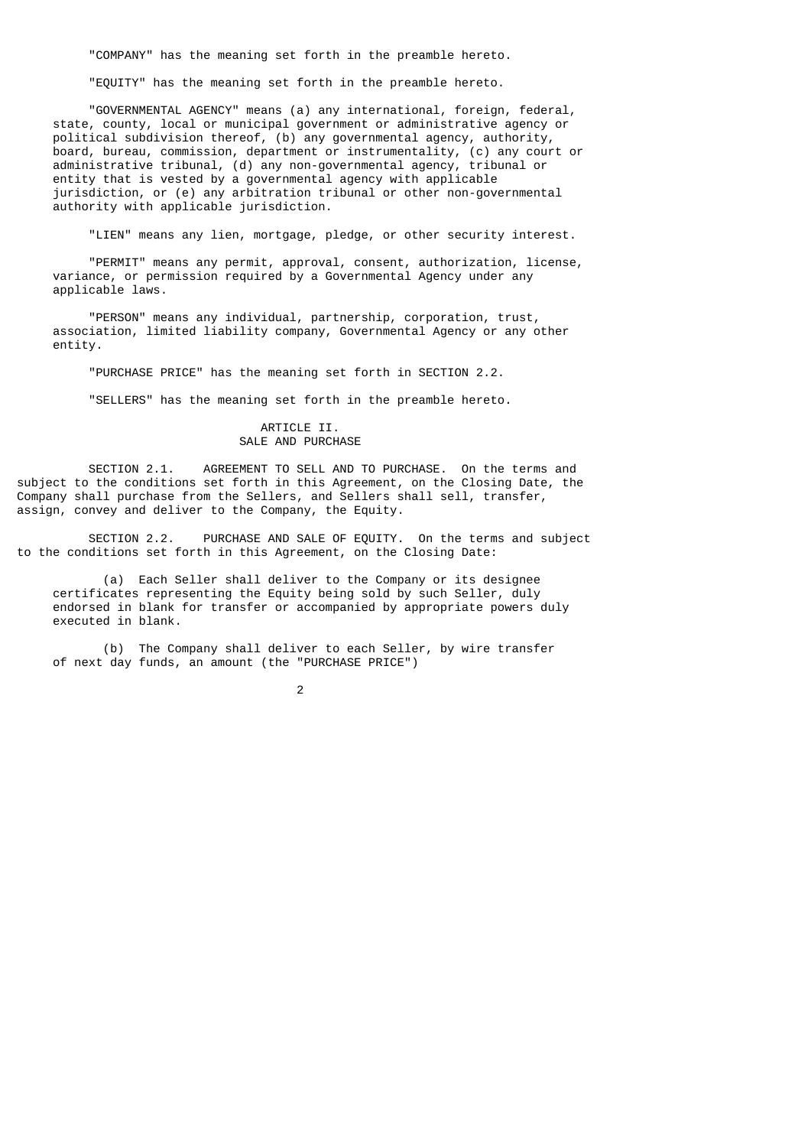"COMPANY" has the meaning set forth in the preamble hereto.

"EQUITY" has the meaning set forth in the preamble hereto.

 "GOVERNMENTAL AGENCY" means (a) any international, foreign, federal, state, county, local or municipal government or administrative agency or political subdivision thereof, (b) any governmental agency, authority, board, bureau, commission, department or instrumentality, (c) any court or administrative tribunal, (d) any non-governmental agency, tribunal or entity that is vested by a governmental agency with applicable jurisdiction, or (e) any arbitration tribunal or other non-governmental authority with applicable jurisdiction.

"LIEN" means any lien, mortgage, pledge, or other security interest.

 "PERMIT" means any permit, approval, consent, authorization, license, variance, or permission required by a Governmental Agency under any applicable laws.

 "PERSON" means any individual, partnership, corporation, trust, association, limited liability company, Governmental Agency or any other entity.

"PURCHASE PRICE" has the meaning set forth in SECTION 2.2.

"SELLERS" has the meaning set forth in the preamble hereto.

### ARTICLE II. SALE AND PURCHASE

 SECTION 2.1. AGREEMENT TO SELL AND TO PURCHASE. On the terms and subject to the conditions set forth in this Agreement, on the Closing Date, the Company shall purchase from the Sellers, and Sellers shall sell, transfer, assign, convey and deliver to the Company, the Equity.

 SECTION 2.2. PURCHASE AND SALE OF EQUITY. On the terms and subject to the conditions set forth in this Agreement, on the Closing Date:

 (a) Each Seller shall deliver to the Company or its designee certificates representing the Equity being sold by such Seller, duly endorsed in blank for transfer or accompanied by appropriate powers duly executed in blank.

 (b) The Company shall deliver to each Seller, by wire transfer of next day funds, an amount (the "PURCHASE PRICE")

2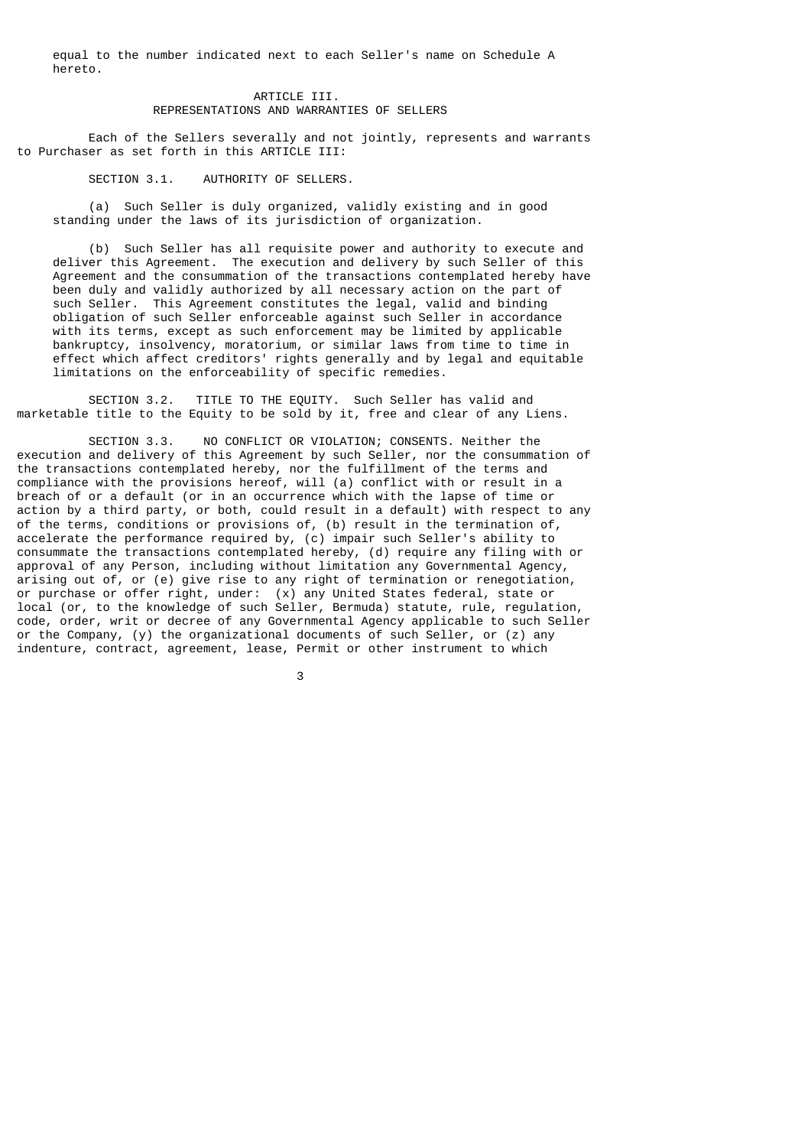equal to the number indicated next to each Seller's name on Schedule A hereto.

### ARTICLE III. REPRESENTATIONS AND WARRANTIES OF SELLERS

 Each of the Sellers severally and not jointly, represents and warrants to Purchaser as set forth in this ARTICLE III:

SECTION 3.1. AUTHORITY OF SELLERS.

 (a) Such Seller is duly organized, validly existing and in good standing under the laws of its jurisdiction of organization.

 (b) Such Seller has all requisite power and authority to execute and deliver this Agreement. The execution and delivery by such Seller of this Agreement and the consummation of the transactions contemplated hereby have been duly and validly authorized by all necessary action on the part of such Seller. This Agreement constitutes the legal, valid and binding obligation of such Seller enforceable against such Seller in accordance with its terms, except as such enforcement may be limited by applicable bankruptcy, insolvency, moratorium, or similar laws from time to time in effect which affect creditors' rights generally and by legal and equitable limitations on the enforceability of specific remedies.

 SECTION 3.2. TITLE TO THE EQUITY. Such Seller has valid and marketable title to the Equity to be sold by it, free and clear of any Liens.

 SECTION 3.3. NO CONFLICT OR VIOLATION; CONSENTS. Neither the execution and delivery of this Agreement by such Seller, nor the consummation of the transactions contemplated hereby, nor the fulfillment of the terms and compliance with the provisions hereof, will (a) conflict with or result in a breach of or a default (or in an occurrence which with the lapse of time or action by a third party, or both, could result in a default) with respect to any of the terms, conditions or provisions of, (b) result in the termination of, accelerate the performance required by, (c) impair such Seller's ability to consummate the transactions contemplated hereby, (d) require any filing with or approval of any Person, including without limitation any Governmental Agency, arising out of, or (e) give rise to any right of termination or renegotiation, or purchase or offer right, under: (x) any United States federal, state or local (or, to the knowledge of such Seller, Bermuda) statute, rule, regulation, code, order, writ or decree of any Governmental Agency applicable to such Seller or the Company,  $(y)$  the organizational documents of such Seller, or  $(z)$  any indenture, contract, agreement, lease, Permit or other instrument to which

 $\sim$  3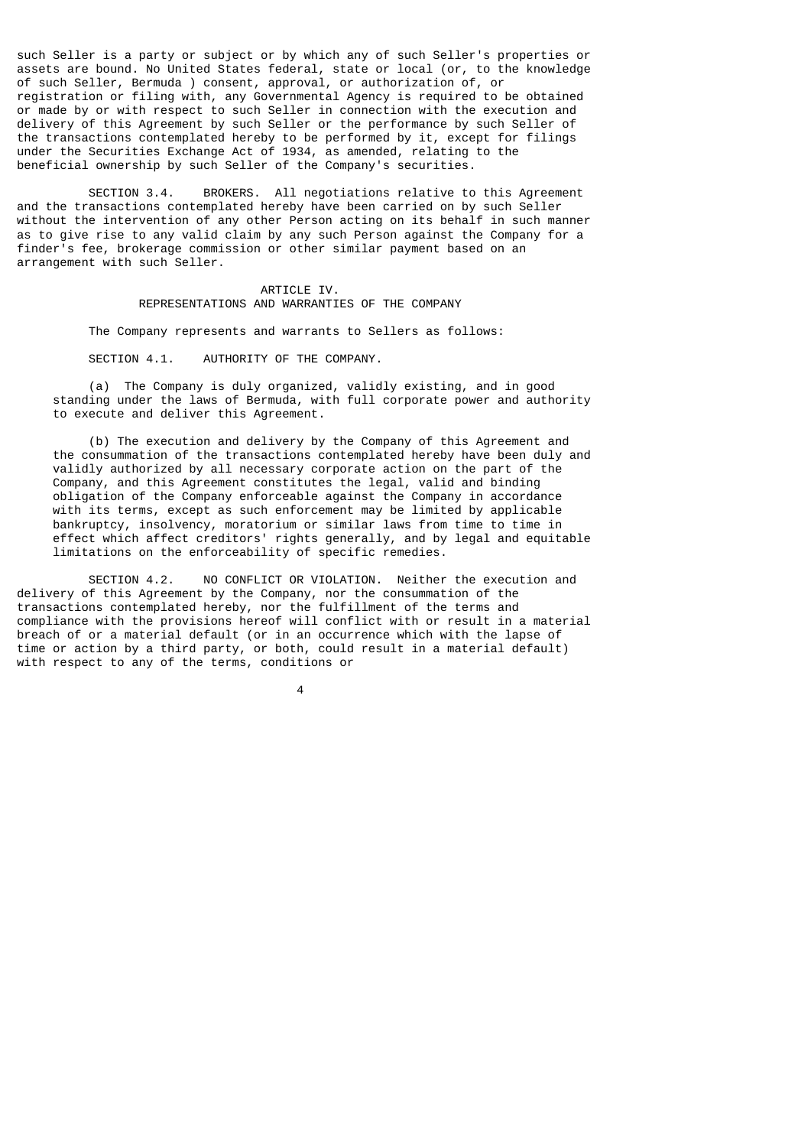such Seller is a party or subject or by which any of such Seller's properties or assets are bound. No United States federal, state or local (or, to the knowledge of such Seller, Bermuda ) consent, approval, or authorization of, or registration or filing with, any Governmental Agency is required to be obtained or made by or with respect to such Seller in connection with the execution and delivery of this Agreement by such Seller or the performance by such Seller of the transactions contemplated hereby to be performed by it, except for filings under the Securities Exchange Act of 1934, as amended, relating to the beneficial ownership by such Seller of the Company's securities.

 SECTION 3.4. BROKERS. All negotiations relative to this Agreement and the transactions contemplated hereby have been carried on by such Seller without the intervention of any other Person acting on its behalf in such manner as to give rise to any valid claim by any such Person against the Company for a finder's fee, brokerage commission or other similar payment based on an arrangement with such Seller.

### ARTICLE IV. REPRESENTATIONS AND WARRANTIES OF THE COMPANY

The Company represents and warrants to Sellers as follows:

SECTION 4.1. AUTHORITY OF THE COMPANY.

 (a) The Company is duly organized, validly existing, and in good standing under the laws of Bermuda, with full corporate power and authority to execute and deliver this Agreement.

 (b) The execution and delivery by the Company of this Agreement and the consummation of the transactions contemplated hereby have been duly and validly authorized by all necessary corporate action on the part of the Company, and this Agreement constitutes the legal, valid and binding obligation of the Company enforceable against the Company in accordance with its terms, except as such enforcement may be limited by applicable bankruptcy, insolvency, moratorium or similar laws from time to time in effect which affect creditors' rights generally, and by legal and equitable limitations on the enforceability of specific remedies.

SECTION 4.2. NO CONFLICT OR VIOLATION. Neither the execution and delivery of this Agreement by the Company, nor the consummation of the transactions contemplated hereby, nor the fulfillment of the terms and compliance with the provisions hereof will conflict with or result in a material breach of or a material default (or in an occurrence which with the lapse of time or action by a third party, or both, could result in a material default) with respect to any of the terms, conditions or

4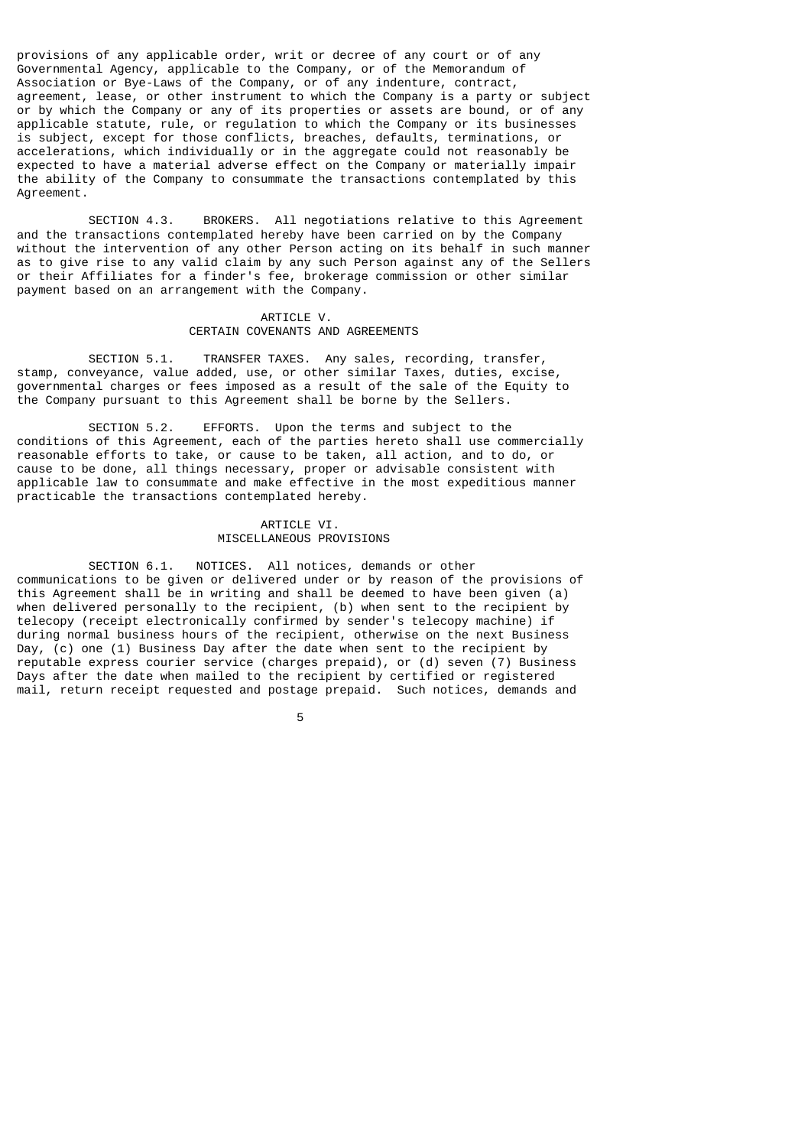provisions of any applicable order, writ or decree of any court or of any Governmental Agency, applicable to the Company, or of the Memorandum of Association or Bye-Laws of the Company, or of any indenture, contract, agreement, lease, or other instrument to which the Company is a party or subject or by which the Company or any of its properties or assets are bound, or of any applicable statute, rule, or regulation to which the Company or its businesses is subject, except for those conflicts, breaches, defaults, terminations, or accelerations, which individually or in the aggregate could not reasonably be expected to have a material adverse effect on the Company or materially impair the ability of the Company to consummate the transactions contemplated by this Agreement.

 SECTION 4.3. BROKERS. All negotiations relative to this Agreement and the transactions contemplated hereby have been carried on by the Company without the intervention of any other Person acting on its behalf in such manner as to give rise to any valid claim by any such Person against any of the Sellers or their Affiliates for a finder's fee, brokerage commission or other similar payment based on an arrangement with the Company.

#### ARTICLE V. CERTAIN COVENANTS AND AGREEMENTS

 SECTION 5.1. TRANSFER TAXES. Any sales, recording, transfer, stamp, conveyance, value added, use, or other similar Taxes, duties, excise, governmental charges or fees imposed as a result of the sale of the Equity to the Company pursuant to this Agreement shall be borne by the Sellers.

 SECTION 5.2. EFFORTS. Upon the terms and subject to the conditions of this Agreement, each of the parties hereto shall use commercially reasonable efforts to take, or cause to be taken, all action, and to do, or cause to be done, all things necessary, proper or advisable consistent with applicable law to consummate and make effective in the most expeditious manner practicable the transactions contemplated hereby.

### ARTICLE VI. MISCELLANEOUS PROVISIONS

 SECTION 6.1. NOTICES. All notices, demands or other communications to be given or delivered under or by reason of the provisions of this Agreement shall be in writing and shall be deemed to have been given (a) when delivered personally to the recipient, (b) when sent to the recipient by telecopy (receipt electronically confirmed by sender's telecopy machine) if during normal business hours of the recipient, otherwise on the next Business Day,  $(c)$  one (1) Business Day after the date when sent to the recipient by reputable express courier service (charges prepaid), or (d) seven (7) Business Days after the date when mailed to the recipient by certified or registered mail, return receipt requested and postage prepaid. Such notices, demands and

the contract of the contract of the contract of the contract of the contract of the contract of the contract o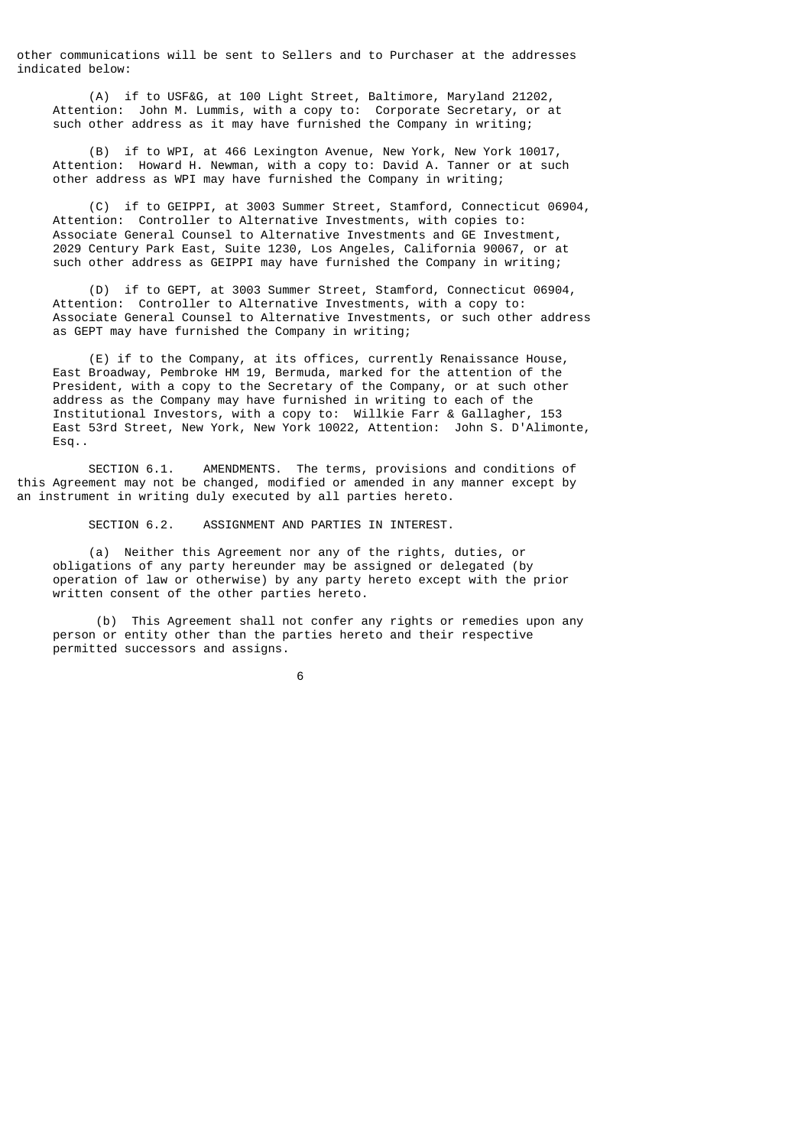other communications will be sent to Sellers and to Purchaser at the addresses indicated below:

 (A) if to USF&G, at 100 Light Street, Baltimore, Maryland 21202, Attention: John M. Lummis, with a copy to: Corporate Secretary, or at such other address as it may have furnished the Company in writing;

 (B) if to WPI, at 466 Lexington Avenue, New York, New York 10017, Attention: Howard H. Newman, with a copy to: David A. Tanner or at such other address as WPI may have furnished the Company in writing;

 (C) if to GEIPPI, at 3003 Summer Street, Stamford, Connecticut 06904, Attention: Controller to Alternative Investments, with copies to: Associate General Counsel to Alternative Investments and GE Investment, 2029 Century Park East, Suite 1230, Los Angeles, California 90067, or at such other address as GEIPPI may have furnished the Company in writing;

 (D) if to GEPT, at 3003 Summer Street, Stamford, Connecticut 06904, Attention: Controller to Alternative Investments, with a copy to: Associate General Counsel to Alternative Investments, or such other address as GEPT may have furnished the Company in writing;

 (E) if to the Company, at its offices, currently Renaissance House, East Broadway, Pembroke HM 19, Bermuda, marked for the attention of the President, with a copy to the Secretary of the Company, or at such other address as the Company may have furnished in writing to each of the Institutional Investors, with a copy to: Willkie Farr & Gallagher, 153 East 53rd Street, New York, New York 10022, Attention: John S. D'Alimonte, Esq..

 SECTION 6.1. AMENDMENTS. The terms, provisions and conditions of this Agreement may not be changed, modified or amended in any manner except by an instrument in writing duly executed by all parties hereto.

SECTION 6.2. ASSIGNMENT AND PARTIES IN INTEREST.

 (a) Neither this Agreement nor any of the rights, duties, or obligations of any party hereunder may be assigned or delegated (by operation of law or otherwise) by any party hereto except with the prior written consent of the other parties hereto.

 (b) This Agreement shall not confer any rights or remedies upon any person or entity other than the parties hereto and their respective permitted successors and assigns.

 $\sim$  6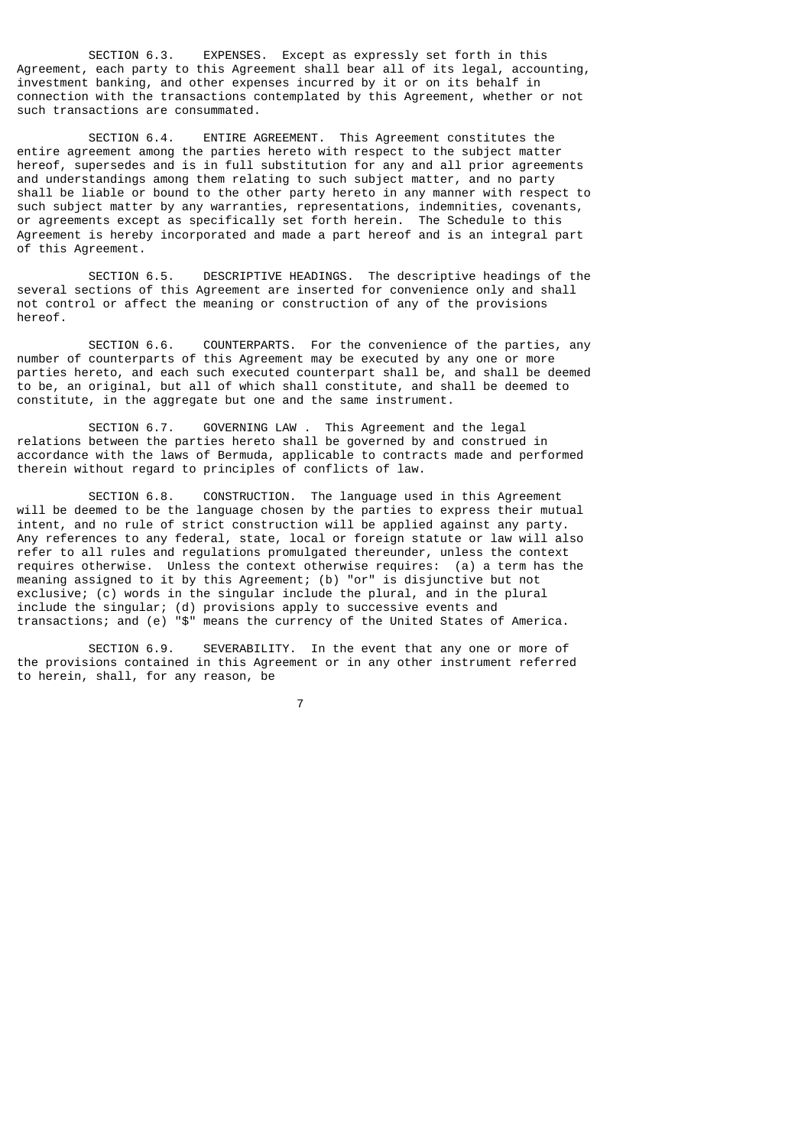SECTION 6.3. EXPENSES. Except as expressly set forth in this Agreement, each party to this Agreement shall bear all of its legal, accounting, investment banking, and other expenses incurred by it or on its behalf in connection with the transactions contemplated by this Agreement, whether or not such transactions are consummated.

 SECTION 6.4. ENTIRE AGREEMENT. This Agreement constitutes the entire agreement among the parties hereto with respect to the subject matter hereof, supersedes and is in full substitution for any and all prior agreements and understandings among them relating to such subject matter, and no party shall be liable or bound to the other party hereto in any manner with respect to such subject matter by any warranties, representations, indemnities, covenants, or agreements except as specifically set forth herein. The Schedule to this Agreement is hereby incorporated and made a part hereof and is an integral part of this Agreement.

 SECTION 6.5. DESCRIPTIVE HEADINGS. The descriptive headings of the several sections of this Agreement are inserted for convenience only and shall not control or affect the meaning or construction of any of the provisions hereof.

 SECTION 6.6. COUNTERPARTS. For the convenience of the parties, any number of counterparts of this Agreement may be executed by any one or more parties hereto, and each such executed counterpart shall be, and shall be deemed to be, an original, but all of which shall constitute, and shall be deemed to constitute, in the aggregate but one and the same instrument.

 SECTION 6.7. GOVERNING LAW . This Agreement and the legal relations between the parties hereto shall be governed by and construed in accordance with the laws of Bermuda, applicable to contracts made and performed therein without regard to principles of conflicts of law.

 SECTION 6.8. CONSTRUCTION. The language used in this Agreement will be deemed to be the language chosen by the parties to express their mutual intent, and no rule of strict construction will be applied against any party. Any references to any federal, state, local or foreign statute or law will also refer to all rules and regulations promulgated thereunder, unless the context requires otherwise. Unless the context otherwise requires: (a) a term has the meaning assigned to it by this Agreement; (b) "or" is disjunctive but not exclusive; (c) words in the singular include the plural, and in the plural include the singular; (d) provisions apply to successive events and transactions; and (e) "\$" means the currency of the United States of America.

 SECTION 6.9. SEVERABILITY. In the event that any one or more of the provisions contained in this Agreement or in any other instrument referred to herein, shall, for any reason, be

7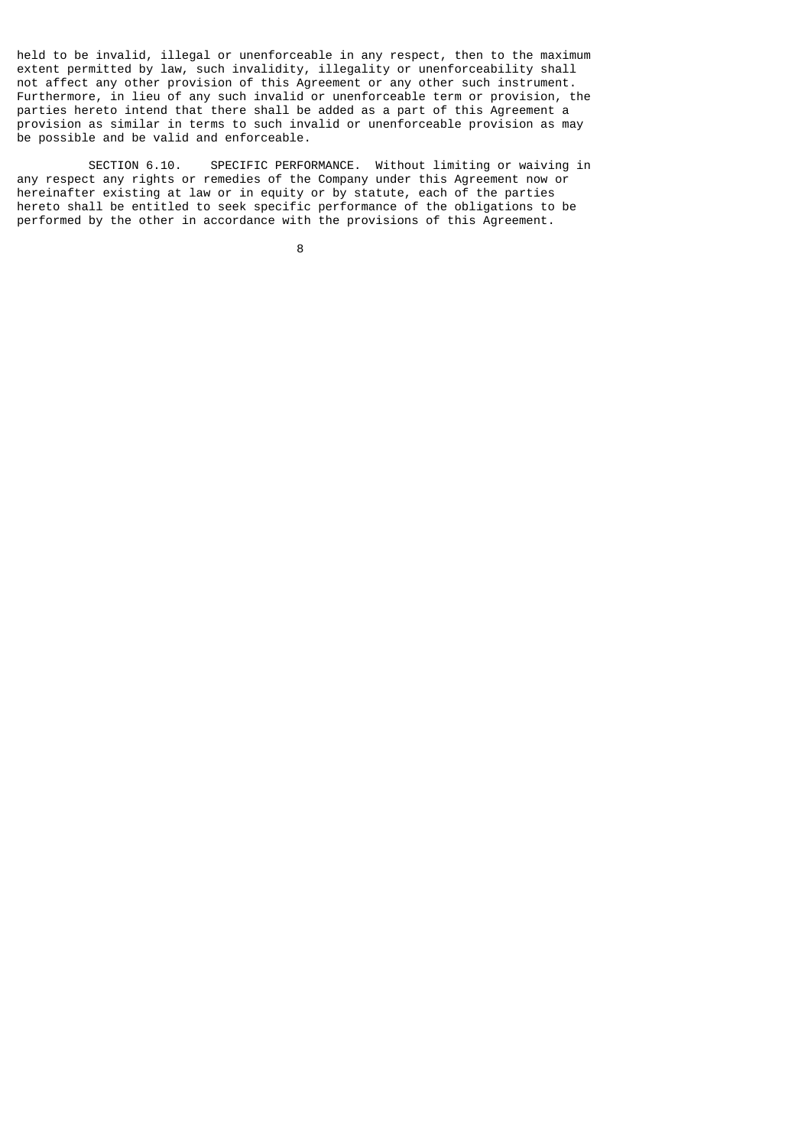held to be invalid, illegal or unenforceable in any respect, then to the maximum extent permitted by law, such invalidity, illegality or unenforceability shall not affect any other provision of this Agreement or any other such instrument. Furthermore, in lieu of any such invalid or unenforceable term or provision, the parties hereto intend that there shall be added as a part of this Agreement a provision as similar in terms to such invalid or unenforceable provision as may be possible and be valid and enforceable.

 SECTION 6.10. SPECIFIC PERFORMANCE. Without limiting or waiving in any respect any rights or remedies of the Company under this Agreement now or hereinafter existing at law or in equity or by statute, each of the parties hereto shall be entitled to seek specific performance of the obligations to be performed by the other in accordance with the provisions of this Agreement.

e a construction de la construction de la construction de la construction de la construction de la constructio<br>En 1980, en 1980, en 1980, en 1980, en 1980, en 1980, en 1980, en 1980, en 1980, en 1980, en 1980, en 1980, en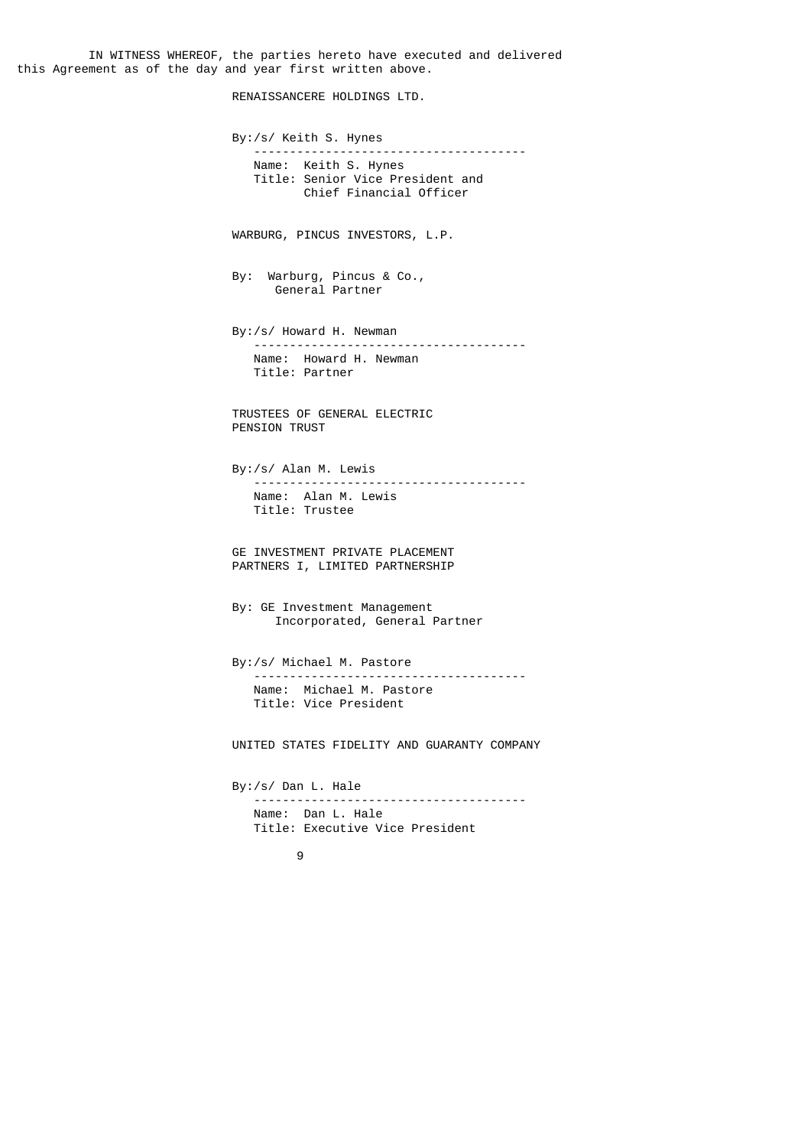IN WITNESS WHEREOF, the parties hereto have executed and delivered this Agreement as of the day and year first written above.

RENAISSANCERE HOLDINGS LTD.

 By:/s/ Keith S. Hynes -------------------------------------- Name: Keith S. Hynes Title: Senior Vice President and Chief Financial Officer WARBURG, PINCUS INVESTORS, L.P. By: Warburg, Pincus & Co., General Partner By:/s/ Howard H. Newman -------------------------------------- Name: Howard H. Newman Title: Partner TRUSTEES OF GENERAL ELECTRIC PENSION TRUST By:/s/ Alan M. Lewis -------------------------------------- Name: Alan M. Lewis Title: Trustee GE INVESTMENT PRIVATE PLACEMENT PARTNERS I, LIMITED PARTNERSHIP By: GE Investment Management Incorporated, General Partner By:/s/ Michael M. Pastore -------------------------------------- Name: Michael M. Pastore Title: Vice President UNITED STATES FIDELITY AND GUARANTY COMPANY By:/s/ Dan L. Hale -------------------------------------- Name: Dan L. Hale Title: Executive Vice President 9